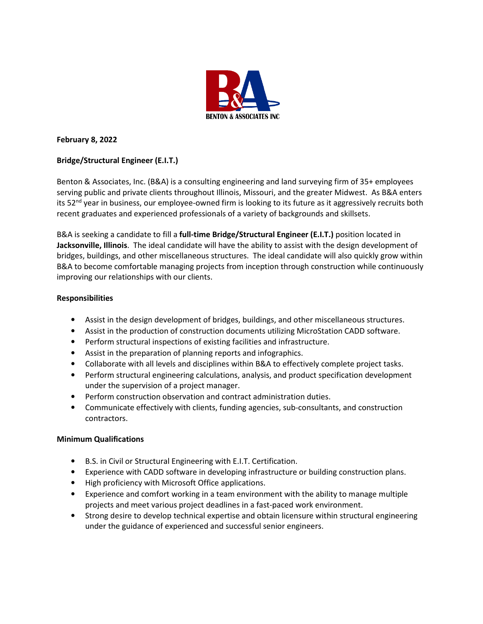

## **February 8, 2022**

# **Bridge/Structural Engineer (E.I.T.)**

Benton & Associates, Inc. (B&A) is a consulting engineering and land surveying firm of 35+ employees serving public and private clients throughout Illinois, Missouri, and the greater Midwest. As B&A enters its 52<sup>nd</sup> year in business, our employee-owned firm is looking to its future as it aggressively recruits both recent graduates and experienced professionals of a variety of backgrounds and skillsets.

B&A is seeking a candidate to fill a **full-time Bridge/Structural Engineer (E.I.T.)** position located in **Jacksonville, Illinois**. The ideal candidate will have the ability to assist with the design development of bridges, buildings, and other miscellaneous structures. The ideal candidate will also quickly grow within B&A to become comfortable managing projects from inception through construction while continuously improving our relationships with our clients.

### **Responsibilities**

- Assist in the design development of bridges, buildings, and other miscellaneous structures.
- Assist in the production of construction documents utilizing MicroStation CADD software.
- Perform structural inspections of existing facilities and infrastructure.
- Assist in the preparation of planning reports and infographics.
- Collaborate with all levels and disciplines within B&A to effectively complete project tasks.
- Perform structural engineering calculations, analysis, and product specification development under the supervision of a project manager.
- Perform construction observation and contract administration duties.
- Communicate effectively with clients, funding agencies, sub-consultants, and construction contractors.

### **Minimum Qualifications**

- B.S. in Civil or Structural Engineering with E.I.T. Certification.
- Experience with CADD software in developing infrastructure or building construction plans.
- High proficiency with Microsoft Office applications.
- Experience and comfort working in a team environment with the ability to manage multiple projects and meet various project deadlines in a fast-paced work environment.
- Strong desire to develop technical expertise and obtain licensure within structural engineering under the guidance of experienced and successful senior engineers.